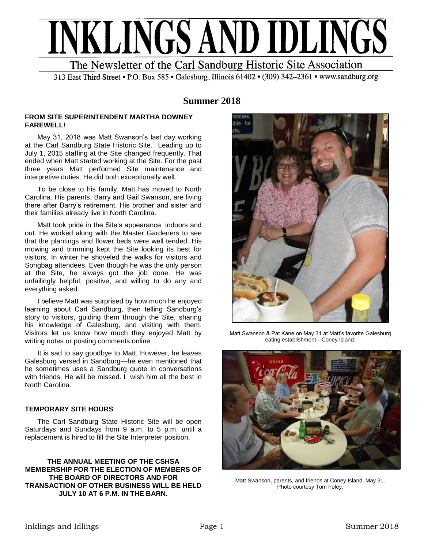

313 East Third Street • P.O. Box 585 • Galesburg, Illinois 61402 • (309) 342-2361 • www.sandburg.org

## **Summer 2018**

#### **FROM SITE SUPERINTENDENT MARTHA DOWNEY FAREWELL!**

May 31, 2018 was Matt Swanson's last day working at the Carl Sandburg State Historic Site. Leading up to July 1, 2015 staffing at the Site changed frequently. That ended when Matt started working at the Site. For the past three years Matt performed Site maintenance and interpretive duties. He did both exceptionally well.

To be close to his family, Matt has moved to North Carolina. His parents, Barry and Gail Swanson, are living there after Barry's retirement. His brother and sister and their families already live in North Carolina.

Matt took pride in the Site's appearance, indoors and out. He worked along with the Master Gardeners to see that the plantings and flower beds were well tended. His mowing and trimming kept the Site looking its best for visitors. In winter he shoveled the walks for visitors and Songbag attendees. Even though he was the only person at the Site, he always got the job done. He was unfailingly helpful, positive, and willing to do any and everything asked.

I believe Matt was surprised by how much he enjoyed learning about Carl Sandburg, then telling Sandburg's story to visitors, guiding them through the Site, sharing his knowledge of Galesburg, and visiting with them. Visitors let us know how much they enjoyed Matt by writing notes or posting comments online.

It is sad to say goodbye to Matt. However, he leaves Galesburg versed in Sandburg—he even mentioned that he sometimes uses a Sandburg quote in conversations with friends. He will be missed. I wish him all the best in North Carolina.

## **TEMPORARY SITE HOURS**

The Carl Sandburg State Historic Site will be open Saturdays and Sundays from 9 a.m. to 5 p.m. until a replacement is hired to fill the Site Interpreter position.

**THE ANNUAL MEETING OF THE CSHSA MEMBERSHIP FOR THE ELECTION OF MEMBERS OF THE BOARD OF DIRECTORS AND FOR TRANSACTION OF OTHER BUSINESS WILL BE HELD JULY 10 AT 6 P.M. IN THE BARN.**



Matt Swanson & Pat Kane on May 31 at Matt's favorite Galesburg eating establishment—Coney Island.



Matt Swanson, parents, and friends at Coney Island, May 31. Photo courtesy Tom Foley.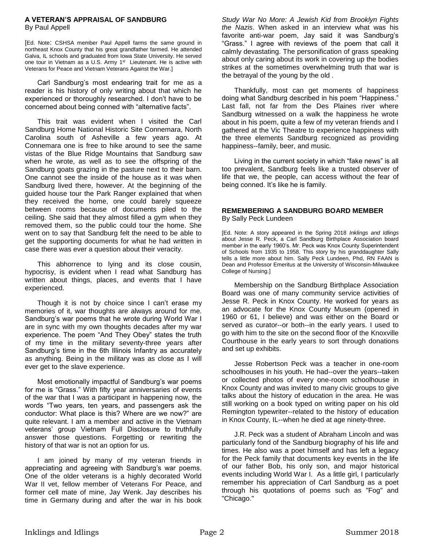#### **A VETERAN'S APPRAISAL OF SANDBURG** By Paul Appell

[Ed. Note: CSHSA member Paul Appell farms the same ground in northeast Knox County that his great grandfather farmed. He attended Galva, IL schools and graduated from Iowa State University. He served one tour in Vietnam as a U.S. Army 1<sup>st</sup> Lieutenant. He is active with Veterans for Peace and Vietnam Veterans Against the War.]

Carl Sandburg's most endearing trait for me as a reader is his history of only writing about that which he experienced or thoroughly researched. I don't have to be concerned about being conned with "alternative facts".

This trait was evident when I visited the Carl Sandburg Home National Historic Site Connemara, North Carolina south of Asheville a few years ago. At Connemara one is free to hike around to see the same vistas of the Blue Ridge Mountains that Sandburg saw when he wrote, as well as to see the offspring of the Sandburg goats grazing in the pasture next to their barn. One cannot see the inside of the house as it was when Sandburg lived there, however. At the beginning of the guided house tour the Park Ranger explained that when they received the home, one could barely squeeze between rooms because of documents piled to the ceiling. She said that they almost filled a gym when they removed them, so the public could tour the home. She went on to say that Sandburg felt the need to be able to get the supporting documents for what he had written in case there was ever a question about their veracity.

This abhorrence to lying and its close cousin, hypocrisy, is evident when I read what Sandburg has written about things, places, and events that I have experienced.

Though it is not by choice since I can't erase my memories of it, war thoughts are always around for me. Sandburg's war poems that he wrote during World War I are in sync with my own thoughts decades after my war experience. The poem "And They Obey" states the truth of my time in the military seventy-three years after Sandburg's time in the 6th Illinois Infantry as accurately as anything. Being in the military was as close as I will ever get to the slave experience.

Most emotionally impactful of Sandburg's war poems for me is "Grass." With fifty year anniversaries of events of the war that I was a participant in happening now, the words "Two years, ten years, and passengers ask the conductor: What place is this? Where are we now?" are quite relevant. I am a member and active in the Vietnam veterans' group Vietnam Full Disclosure to truthfully answer those questions. Forgetting or rewriting the history of that war is not an option for us.

I am joined by many of my veteran friends in appreciating and agreeing with Sandburg's war poems. One of the older veterans is a highly decorated World War II vet, fellow member of Veterans For Peace, and former cell mate of mine, Jay Wenk. Jay describes his time in Germany during and after the war in his book *Study War No More: A Jewish Kid from Brooklyn Fights the Nazis*. When asked in an interview what was his favorite anti-war poem, Jay said it was Sandburg's "Grass." I agree with reviews of the poem that call it calmly devastating. The personification of grass speaking about only caring about its work in covering up the bodies strikes at the sometimes overwhelming truth that war is the betrayal of the young by the old .

Thankfully, most can get moments of happiness doing what Sandburg described in his poem "Happiness." Last fall, not far from the Des Plaines river where Sandburg witnessed on a walk the happiness he wrote about in his poem, quite a few of my veteran friends and I gathered at the Vic Theatre to experience happiness with the three elements Sandburg recognized as providing happiness--family, beer, and music.

Living in the current society in which "fake news" is all too prevalent, Sandburg feels like a trusted observer of life that we, the people, can access without the fear of being conned. It's like he is family.

#### **REMEMBERING A SANDBURG BOARD MEMBER** By Sally Peck Lundeen

[Ed. Note: A story appeared in the Spring 2018 *Inklings and Idlings* about Jesse R. Peck, a Carl Sandburg Birthplace Association board member in the early 1960's. Mr. Peck was Knox County Superintendent of Schools from 1935 to 1958. This story by his granddaughter Sally tells a little more about him. Sally Peck Lundeen, Phd, RN FAAN is Dean and Professor Emeritus at the University of Wisconsin-Milwaukee College of Nursing.]

Membership on the Sandburg Birthplace Association Board was one of many community service activities of Jesse R. Peck in Knox County. He worked for years as an advocate for the Knox County Museum (opened in 1960 or 61, I believe) and was either on the Board or served as curator--or both--in the early years. I used to go with him to the site on the second floor of the Knoxville Courthouse in the early years to sort through donations and set up exhibits.

Jesse Robertson Peck was a teacher in one-room schoolhouses in his youth. He had--over the years--taken or collected photos of every one-room schoolhouse in Knox County and was invited to many civic groups to give talks about the history of education in the area. He was still working on a book typed on writing paper on his old Remington typewriter--related to the history of education in Knox County, IL--when he died at age ninety-three.

J.R. Peck was a student of Abraham Lincoln and was particularly fond of the Sandburg biography of his life and times. He also was a poet himself and has left a legacy for the Peck family that documents key events in the life of our father Bob, his only son, and major historical events including World War I. As a little girl, I particularly remember his appreciation of Carl Sandburg as a poet through his quotations of poems such as "Fog" and "Chicago."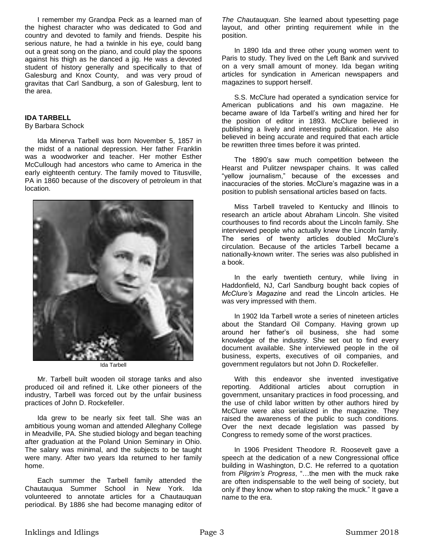I remember my Grandpa Peck as a learned man of the highest character who was dedicated to God and country and devoted to family and friends. Despite his serious nature, he had a twinkle in his eye, could bang out a great song on the piano, and could play the spoons against his thigh as he danced a jig. He was a devoted student of history generally and specifically to that of Galesburg and Knox County, and was very proud of gravitas that Carl Sandburg, a son of Galesburg, lent to the area.

### **IDA TARBELL**

#### By Barbara Schock

Ida Minerva Tarbell was born November 5, 1857 in the midst of a national depression. Her father Franklin was a woodworker and teacher. Her mother Esther McCullough had ancestors who came to America in the early eighteenth century. The family moved to Titusville, PA in 1860 because of the discovery of petroleum in that location.



Ida Tarbell

Mr. Tarbell built wooden oil storage tanks and also produced oil and refined it. Like other pioneers of the industry, Tarbell was forced out by the unfair business practices of John D. Rockefeller.

Ida grew to be nearly six feet tall. She was an ambitious young woman and attended Alleghany College in Meadville, PA. She studied biology and began teaching after graduation at the Poland Union Seminary in Ohio. The salary was minimal, and the subjects to be taught were many. After two years Ida returned to her family home.

Each summer the Tarbell family attended the Chautauqua Summer School in New York. Ida volunteered to annotate articles for a Chautauquan periodical. By 1886 she had become managing editor of

*The Chautauquan*. She learned about typesetting page layout, and other printing requirement while in the position.

In 1890 Ida and three other young women went to Paris to study. They lived on the Left Bank and survived on a very small amount of money. Ida began writing articles for syndication in American newspapers and magazines to support herself.

S.S. McClure had operated a syndication service for American publications and his own magazine. He became aware of Ida Tarbell's writing and hired her for the position of editor in 1893. McClure believed in publishing a lively and interesting publication. He also believed in being accurate and required that each article be rewritten three times before it was printed.

The 1890's saw much competition between the Hearst and Pulitzer newspaper chains. It was called "yellow journalism," because of the excesses and inaccuracies of the stories. McClure's magazine was in a position to publish sensational articles based on facts.

Miss Tarbell traveled to Kentucky and Illinois to research an article about Abraham Lincoln. She visited courthouses to find records about the Lincoln family. She interviewed people who actually knew the Lincoln family. The series of twenty articles doubled McClure's circulation. Because of the articles Tarbell became a nationally-known writer. The series was also published in a book.

In the early twentieth century, while living in Haddonfield, NJ, Carl Sandburg bought back copies of *McClure's Magazine* and read the Lincoln articles. He was very impressed with them.

In 1902 Ida Tarbell wrote a series of nineteen articles about the Standard Oil Company. Having grown up around her father's oil business, she had some knowledge of the industry. She set out to find every document available. She interviewed people in the oil business, experts, executives of oil companies, and government regulators but not John D. Rockefeller.

With this endeavor she invented investigative reporting. Additional articles about corruption in government, unsanitary practices in food processing, and the use of child labor written by other authors hired by McClure were also serialized in the magazine. They raised the awareness of the public to such conditions. Over the next decade legislation was passed by Congress to remedy some of the worst practices.

In 1906 President Theodore R. Roosevelt gave a speech at the dedication of a new Congressional office building in Washington, D.C. He referred to a quotation from *Pilgrim's Progress*, "…the men with the muck rake are often indispensable to the well being of society, but only if they know when to stop raking the muck." It gave a name to the era.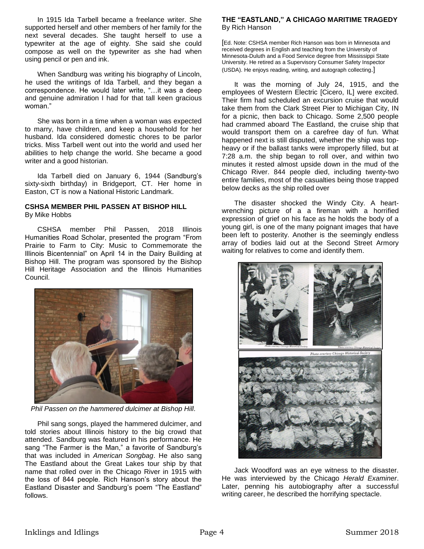In 1915 Ida Tarbell became a freelance writer. She supported herself and other members of her family for the next several decades. She taught herself to use a typewriter at the age of eighty. She said she could compose as well on the typewriter as she had when using pencil or pen and ink.

When Sandburg was writing his biography of Lincoln, he used the writings of Ida Tarbell, and they began a correspondence. He would later write, "…it was a deep and genuine admiration I had for that tall keen gracious woman."

She was born in a time when a woman was expected to marry, have children, and keep a household for her husband. Ida considered domestic chores to be parlor tricks. Miss Tarbell went out into the world and used her abilities to help change the world. She became a good writer and a good historian.

Ida Tarbell died on January 6, 1944 (Sandburg's sixty-sixth birthday) in Bridgeport, CT. Her home in Easton, CT is now a National Historic Landmark.

#### **CSHSA MEMBER PHIL PASSEN AT BISHOP HILL** By Mike Hobbs

CSHSA member Phil Passen, 2018 Illinois Humanities Road Scholar, presented the program "From Prairie to Farm to City: Music to Commemorate the Illinois Bicentennial" on April 14 in the Dairy Building at Bishop Hill. The program was sponsored by the Bishop Hill Heritage Association and the Illinois Humanities Council.



*Phil Passen on the hammered dulcimer at Bishop Hill.*

Phil sang songs, played the hammered dulcimer, and told stories about Illinois history to the big crowd that attended. Sandburg was featured in his performance. He sang "The Farmer is the Man," a favorite of Sandburg's that was included in *American Songbag*. He also sang The Eastland about the Great Lakes tour ship by that name that rolled over in the Chicago River in 1915 with the loss of 844 people. Rich Hanson's story about the Eastland Disaster and Sandburg's poem "The Eastland" follows.

#### **THE "EASTLAND," A CHICAGO MARITIME TRAGEDY** By Rich Hanson

[Ed. Note: CSHSA member Rich Hanson was born in Minnesota and received degrees in English and teaching from the University of Minnesota-Duluth and a Food Service degree from Mississippi State University. He retired as a Supervisory Consumer Safety Inspector (USDA). He enjoys reading, writing, and autograph collecting.]

It was the morning of July 24, 1915, and the employees of Western Electric [Cicero, IL] were excited. Their firm had scheduled an excursion cruise that would take them from the Clark Street Pier to Michigan City, IN for a picnic, then back to Chicago. Some 2,500 people had crammed aboard The Eastland, the cruise ship that would transport them on a carefree day of fun. What happened next is still disputed, whether the ship was topheavy or if the ballast tanks were improperly filled, but at 7:28 a.m. the ship began to roll over, and within two minutes it rested almost upside down in the mud of the Chicago River. 844 people died, including twenty-two entire families, most of the casualties being those trapped below decks as the ship rolled over

The disaster shocked the Windy City. A heartwrenching picture of a a fireman with a horrified expression of grief on his face as he holds the body of a young girl, is one of the many poignant images that have been left to posterity. Another is the seemingly endless array of bodies laid out at the Second Street Armory waiting for relatives to come and identify them.



Jack Woodford was an eye witness to the disaster. He was interviewed by the Chicago *Herald Examiner*. Later, penning his autobiography after a successful writing career, he described the horrifying spectacle.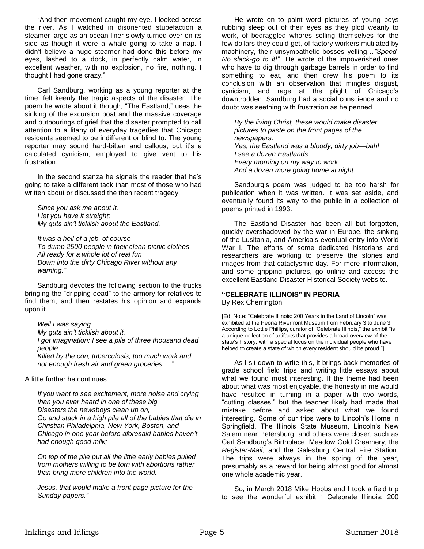"And then movement caught my eye. I looked across the river. As I watched in disoriented stupefaction a steamer large as an ocean liner slowly turned over on its side as though it were a whale going to take a nap. I didn't believe a huge steamer had done this before my eyes, lashed to a dock, in perfectly calm water, in excellent weather, with no explosion, no fire, nothing. I thought I had gone crazy."

Carl Sandburg, working as a young reporter at the time, felt keenly the tragic aspects of the disaster. The poem he wrote about it though, "The Eastland," uses the sinking of the excursion boat and the massive coverage and outpourings of grief that the disaster prompted to call attention to a litany of everyday tragedies that Chicago residents seemed to be indifferent or blind to. The young reporter may sound hard-bitten and callous, but it's a calculated cynicism, employed to give vent to his frustration.

In the second stanza he signals the reader that he's going to take a different tack than most of those who had written about or discussed the then recent tragedy.

*Since you ask me about it, I let you have it straight; My guts ain't ticklish about the Eastland.*

*It was a hell of a job, of course To dump 2500 people in their clean picnic clothes All ready for a whole lot of real fun Down into the dirty Chicago River without any warning."*

Sandburg devotes the following section to the trucks bringing the "dripping dead" to the armory for relatives to find them, and then restates his opinion and expands upon it.

*Well I was saying My guts ain't ticklish about it. I got imagination: I see a pile of three thousand dead people Killed by the con, tuberculosis, too much work and not enough fresh air and green groceries…."*

A little further he continues…

*If you want to see excitement, more noise and crying than you ever heard in one of these big Disasters the newsboys clean up on, Go and stack in a high pile all of the babies that die in Christian Philadelphia, New York, Boston, and Chicago in one year before aforesaid babies haven't had enough good milk;*

*On top of the pile put all the little early babies pulled from mothers willing to be torn with abortions rather than bring more children into the world.*

*Jesus, that would make a front page picture for the Sunday papers."*

He wrote on to paint word pictures of young boys rubbing sleep out of their eyes as they plod wearily to work, of bedraggled whores selling themselves for the few dollars they could get, of factory workers mutilated by machinery, their unsympathetic bosses yelling…*"Speed-No slack-go to it!"* He wrote of the impoverished ones who have to dig through garbage barrels in order to find something to eat, and then drew his poem to its conclusion with an observation that mingles disgust, cynicism, and rage at the plight of Chicago's downtrodden. Sandburg had a social conscience and no doubt was seething with frustration as he penned…

*By the living Christ, these would make disaster pictures to paste on the front pages of the newspapers. Yes, the Eastland was a bloody, dirty job—bah! I see a dozen Eastlands Every morning on my way to work And a dozen more going home at night.*

Sandburg's poem was judged to be too harsh for publication when it was written. It was set aside, and eventually found its way to the public in a collection of poems printed in 1993.

The Eastland Disaster has been all but forgotten, quickly overshadowed by the war in Europe, the sinking of the Lusitania, and America's eventual entry into World War I. The efforts of some dedicated historians and researchers are working to preserve the stories and images from that cataclysmic day. For more information, and some gripping pictures, go online and access the excellent Eastland Disaster Historical Society website.

# **"CELEBRATE ILLINOIS" IN PEORIA**

By Rex Cherrington

[Ed. Note: "Celebrate Illinois: 200 Years in the Land of Lincoln" was exhibited at the Peoria Riverfront Museum from February 3 to June 3. According to Lottie Phillips, curator of "Celebrate Illinois," the exhibit "is a unique collection of artifacts that provides a broad overview of the state's history, with a special focus on the individual people who have helped to create a state of which every resident should be proud."]

As I sit down to write this, it brings back memories of grade school field trips and writing little essays about what we found most interesting. If the theme had been about what was most enjoyable, the honesty in me would have resulted in turning in a paper with two words, "cutting classes," but the teacher likely had made that mistake before and asked about what we found interesting. Some of our trips were to Lincoln's Home in Springfield, The Illinois State Museum, Lincoln's New Salem near Petersburg, and others were closer, such as Carl Sandburg's Birthplace, Meadow Gold Creamery, the *Register-Mail*, and the Galesburg Central Fire Station. The trips were always in the spring of the year, presumably as a reward for being almost good for almost one whole academic year.

So, in March 2018 Mike Hobbs and I took a field trip to see the wonderful exhibit " Celebrate Illinois: 200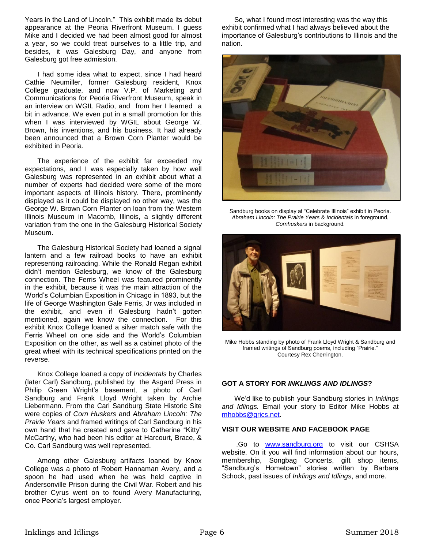Years in the Land of Lincoln." This exhibit made its debut appearance at the Peoria Riverfront Museum. I guess Mike and I decided we had been almost good for almost a year, so we could treat ourselves to a little trip, and besides, it was Galesburg Day, and anyone from Galesburg got free admission.

I had some idea what to expect, since I had heard Cathie Neumiller, former Galesburg resident, Knox College graduate, and now V.P. of Marketing and Communications for Peoria Riverfront Museum, speak in an interview on WGIL Radio, and from her I learned a bit in advance. We even put in a small promotion for this when I was interviewed by WGIL about George W. Brown, his inventions, and his business. It had already been announced that a Brown Corn Planter would be exhibited in Peoria.

The experience of the exhibit far exceeded my expectations, and I was especially taken by how well Galesburg was represented in an exhibit about what a number of experts had decided were some of the more important aspects of Illinois history. There, prominently displayed as it could be displayed no other way, was the George W. Brown Corn Planter on loan from the Western Illinois Museum in Macomb, Illinois, a slightly different variation from the one in the Galesburg Historical Society Museum.

The Galesburg Historical Society had loaned a signal lantern and a few railroad books to have an exhibit representing railroading. While the Ronald Regan exhibit didn't mention Galesburg, we know of the Galesburg connection. The Ferris Wheel was featured prominently in the exhibit, because it was the main attraction of the World's Columbian Exposition in Chicago in 1893, but the life of George Washington Gale Ferris, Jr was included in the exhibit, and even if Galesburg hadn't gotten mentioned, again we know the connection. For this exhibit Knox College loaned a silver match safe with the Ferris Wheel on one side and the World's Columbian Exposition on the other, as well as a cabinet photo of the great wheel with its technical specifications printed on the reverse.

Knox College loaned a copy of *Incidentals* by Charles (later Carl) Sandburg, published by the Asgard Press in Philip Green Wright's basement, a photo of Carl Sandburg and Frank Lloyd Wright taken by Archie Liebermann. From the Carl Sandburg State Historic Site were copies of *Corn Huskers* and *Abraham Lincoln: The Prairie Years* and framed writings of Carl Sandburg in his own hand that he created and gave to Catherine "Kitty" McCarthy, who had been his editor at Harcourt, Brace, & Co. Carl Sandburg was well represented.

Among other Galesburg artifacts loaned by Knox College was a photo of Robert Hannaman Avery, and a spoon he had used when he was held captive in Andersonville Prison during the Civil War. Robert and his brother Cyrus went on to found Avery Manufacturing, once Peoria's largest employer.

So, what I found most interesting was the way this exhibit confirmed what I had always believed about the importance of Galesburg's contributions to Illinois and the nation.



Sandburg books on display at "Celebrate Illinois" exhibit in Peoria. *Abraham Lincoln: The Prairie Years* & *Incidentals* in foreground, *Cornhuskers* in background*.*



Mike Hobbs standing by photo of Frank Lloyd Wright & Sandburg and framed writings of Sandburg poems, including "Prairie." Courtesy Rex Cherrington.

#### **GOT A STORY FOR** *INKLINGS AND IDLINGS***?**

We'd like to publish your Sandburg stories in *Inklings and Idlings.* Email your story to Editor Mike Hobbs at [mhobbs@grics.net.](mailto:mhobbs@grics.net)

#### **VISIT OUR WEBSITE AND FACEBOOK PAGE**

.Go to [www.sandburg.org](http://www.sandburg.org/) to visit our CSHSA website. On it you will find information about our hours, membership, Songbag Concerts, gift shop items, "Sandburg's Hometown" stories written by Barbara Schock, past issues of *Inklings and Idlings*, and more.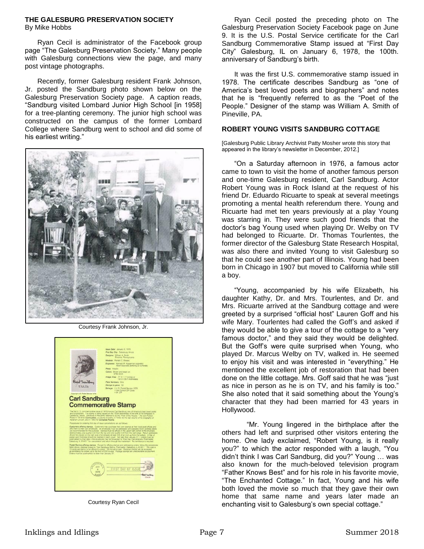## **THE GALESBURG PRESERVATION SOCIETY**

By Mike Hobbs

Ryan Cecil is administrator of the Facebook group page "The Galesburg Preservation Society." Many people with Galesburg connections view the page, and many post vintage photographs.

Recently, former Galesburg resident Frank Johnson, Jr. posted the Sandburg photo shown below on the Galesburg Preservation Society page. A caption reads, "Sandburg visited Lombard Junior High School [in 1958] for a tree-planting ceremony. The junior high school was constructed on the campus of the former Lombard College where Sandburg went to school and did some of his earliest writing."



Courtesy Frank Johnson, Jr.

|                                                     | Issue Date: January 6, 1978                                                                                                                                                                                                                                                                                                                                                                                                                                                                                                                                                                                                                |
|-----------------------------------------------------|--------------------------------------------------------------------------------------------------------------------------------------------------------------------------------------------------------------------------------------------------------------------------------------------------------------------------------------------------------------------------------------------------------------------------------------------------------------------------------------------------------------------------------------------------------------------------------------------------------------------------------------------|
|                                                     | First Day City: Galesburg, Illinois                                                                                                                                                                                                                                                                                                                                                                                                                                                                                                                                                                                                        |
|                                                     | Designer: William A Smith<br>Pineville, Pennsylvania                                                                                                                                                                                                                                                                                                                                                                                                                                                                                                                                                                                       |
|                                                     | Modeler: Ronald C. Shame                                                                                                                                                                                                                                                                                                                                                                                                                                                                                                                                                                                                                   |
|                                                     | Engravers: Kenneth R. Kipperman (vignette)<br>Albert Saavedra (lettering & numerals)                                                                                                                                                                                                                                                                                                                                                                                                                                                                                                                                                       |
|                                                     | Press: Intacko                                                                                                                                                                                                                                                                                                                                                                                                                                                                                                                                                                                                                             |
|                                                     | Colors: Brown and black on<br>white stock                                                                                                                                                                                                                                                                                                                                                                                                                                                                                                                                                                                                  |
|                                                     | Image Area: 77 X 1.17 inches or<br>19.5 X 29.7 millimeters                                                                                                                                                                                                                                                                                                                                                                                                                                                                                                                                                                                 |
| Carl Sandburg                                       | Plate Numbers: One                                                                                                                                                                                                                                                                                                                                                                                                                                                                                                                                                                                                                         |
| USA <sub>I3c</sub>                                  | Stamps to pane: 50                                                                                                                                                                                                                                                                                                                                                                                                                                                                                                                                                                                                                         |
|                                                     | Selvage: © U. S. Postal Service 1978.                                                                                                                                                                                                                                                                                                                                                                                                                                                                                                                                                                                                      |
| Copyright U.S. Postal Service 1978                  | <sup>®</sup> Use Correct ZIP Code<br>©M.ZIP                                                                                                                                                                                                                                                                                                                                                                                                                                                                                                                                                                                                |
|                                                     |                                                                                                                                                                                                                                                                                                                                                                                                                                                                                                                                                                                                                                            |
| <b>Carl Sandburg</b>                                |                                                                                                                                                                                                                                                                                                                                                                                                                                                                                                                                                                                                                                            |
|                                                     |                                                                                                                                                                                                                                                                                                                                                                                                                                                                                                                                                                                                                                            |
|                                                     | <b>Commemorative Stamp</b>                                                                                                                                                                                                                                                                                                                                                                                                                                                                                                                                                                                                                 |
|                                                     |                                                                                                                                                                                                                                                                                                                                                                                                                                                                                                                                                                                                                                            |
| Abraham Lincoln, and in 1950 for Complete Poems.    | Galesburg, Illinois. Sandburg is frequently referred to as the "Poet of the People." He won Pulltzer.<br>Prizes in 1918 for Comhuskers, a volume of poetry, in 1940, for the last volume of his biography of                                                                                                                                                                                                                                                                                                                                                                                                                               |
|                                                     | Procedures for ordering first day of issue cancellations are as follows:                                                                                                                                                                                                                                                                                                                                                                                                                                                                                                                                                                   |
|                                                     | Customers affixing stamps. Customers may purchase their own stamps at their local post offices and<br>affix them to their own envelopes. All envelopes must be addressed and peelable return address labels<br>are recommended for this purpose. Stamps must be affued in the upper right comer of the envelope.<br>approximately one quarter inch from the top and one quarter inch from the right edge. Return addresses<br>should be placed on the noht side of envelopes at least 5/8 of an inch up from the bottom. A filler of<br>postal card thickness should be inserted in each cover. Not later than January 21 - orders must be |
|                                                     | postmarked by that date -- the envelopes may be forwarded to "First Day Cancellations, Postmaster,<br>Galesburg. IL 61401." for cancellation and return through the mailstream. No remittance is required.                                                                                                                                                                                                                                                                                                                                                                                                                                 |
| Orders must be postmarked no later than January 21. | Postal Service affixing stamps. Except for affixing stamps and addressing orders, tollow the procedures<br>listed above. Address orders to "Carl Sandburg Stamp, Postmaster, Galesburg, IL 61401." The cost is<br>13 cents per stamp to be affixed to covers. Do not send cash. Personal checks will be accepted<br>as remittance for orders up to the limit of 200 covers. Postage stamps are unacceptable as payment.                                                                                                                                                                                                                    |

Courtesy Ryan Cecil

Ryan Cecil posted the preceding photo on The Galesburg Preservation Society Facebook page on June 9. It is the U.S. Postal Service certificate for the Carl Sandburg Commemorative Stamp issued at "First Day City" Galesburg, IL on January 6, 1978, the 100th. anniversary of Sandburg's birth.

It was the first U.S. commemorative stamp issued in 1978. The certificate describes Sandburg as "one of America's best loved poets and biographers" and notes that he is "frequently referred to as the "Poet of the People." Designer of the stamp was William A. Smith of Pineville, PA.

#### **ROBERT YOUNG VISITS SANDBURG COTTAGE**

[Galesburg Public Library Archivist Patty Mosher wrote this story that appeared in the library's newsletter in December, 2012.]

"On a Saturday afternoon in 1976, a famous actor came to town to visit the home of another famous person and one-time Galesburg resident, Carl Sandburg. Actor Robert Young was in Rock Island at the request of his friend Dr. Eduardo Ricuarte to speak at several meetings promoting a mental health referendum there. Young and Ricuarte had met ten years previously at a play Young was starring in. They were such good friends that the doctor's bag Young used when playing Dr. Welby on TV had belonged to Ricuarte. Dr. Thomas Tourlentes, the former director of the Galesburg State Research Hospital, was also there and invited Young to visit Galesburg so that he could see another part of Illinois. Young had been born in Chicago in 1907 but moved to California while still a boy.

"Young, accompanied by his wife Elizabeth, his daughter Kathy, Dr. and Mrs. Tourlentes, and Dr. and Mrs. Ricuarte arrived at the Sandburg cottage and were greeted by a surprised "official host" Lauren Goff and his wife Mary. Tourlentes had called the Goff's and asked if they would be able to give a tour of the cottage to a "very famous doctor," and they said they would be delighted. But the Goff's were quite surprised when Young, who played Dr. Marcus Welby on TV, walked in. He seemed to enjoy his visit and was interested in "everything." He mentioned the excellent job of restoration that had been done on the little cottage. Mrs. Goff said that he was "just as nice in person as he is on TV, and his family is too." She also noted that it said something about the Young's character that they had been married for 43 years in Hollywood.

"Mr. Young lingered in the birthplace after the others had left and surprised other visitors entering the home. One lady exclaimed, "Robert Young, is it really you?" to which the actor responded with a laugh, "You didn't think I was Carl Sandburg, did you?" Young … was also known for the much-beloved television program "Father Knows Best" and for his role in his favorite movie, "The Enchanted Cottage." In fact, Young and his wife both loved the movie so much that they gave their own home that same name and years later made an enchanting visit to Galesburg's own special cottage."